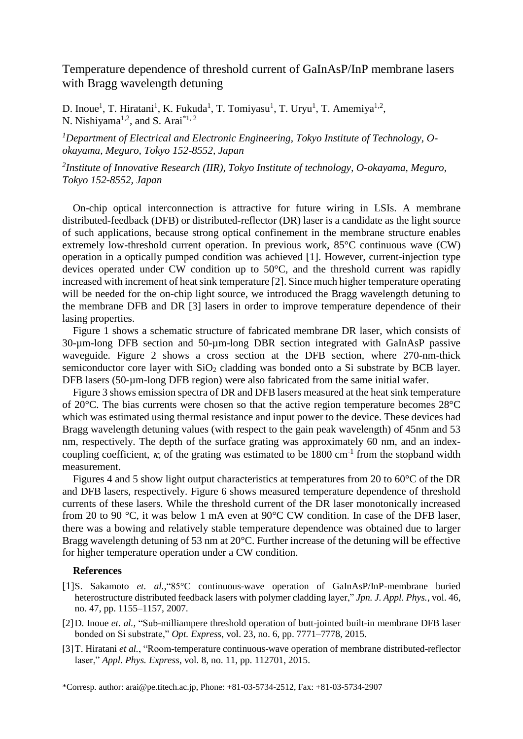## Temperature dependence of threshold current of GaInAsP/InP membrane lasers with Bragg wavelength detuning

D. Inoue<sup>1</sup>, T. Hiratani<sup>1</sup>, K. Fukuda<sup>1</sup>, T. Tomiyasu<sup>1</sup>, T. Uryu<sup>1</sup>, T. Amemiya<sup>1,2</sup>, N. Nishiyama<sup>1,2</sup>, and S. Arai<sup>\*1, 2</sup>

*<sup>1</sup>Department of Electrical and Electronic Engineering, Tokyo Institute of Technology, Ookayama, Meguro, Tokyo 152-8552, Japan*

*2 Institute of Innovative Research (IIR), Tokyo Institute of technology, O-okayama, Meguro, Tokyo 152-8552, Japan*

On-chip optical interconnection is attractive for future wiring in LSIs. A membrane distributed-feedback (DFB) or distributed-reflector (DR) laser is a candidate as the light source of such applications, because strong optical confinement in the membrane structure enables extremely low-threshold current operation. In previous work, 85°C continuous wave (CW) operation in a optically pumped condition was achieved [1]. However, current-injection type devices operated under CW condition up to 50°C, and the threshold current was rapidly increased with increment of heat sink temperature [2]. Since much higher temperature operating will be needed for the on-chip light source, we introduced the Bragg wavelength detuning to the membrane DFB and DR [3] lasers in order to improve temperature dependence of their lasing properties.

Figure 1 shows a schematic structure of fabricated membrane DR laser, which consists of 30-µm-long DFB section and 50-µm-long DBR section integrated with GaInAsP passive waveguide. Figure 2 shows a cross section at the DFB section, where 270-nm-thick semiconductor core layer with  $SiO<sub>2</sub>$  cladding was bonded onto a Si substrate by BCB layer. DFB lasers (50-µm-long DFB region) were also fabricated from the same initial wafer.

Figure 3 shows emission spectra of DR and DFB lasers measured at the heat sink temperature of 20°C. The bias currents were chosen so that the active region temperature becomes 28°C which was estimated using thermal resistance and input power to the device. These devices had Bragg wavelength detuning values (with respect to the gain peak wavelength) of 45nm and 53 nm, respectively. The depth of the surface grating was approximately 60 nm, and an indexcoupling coefficient,  $\kappa$ , of the grating was estimated to be 1800 cm<sup>-1</sup> from the stopband width measurement.

Figures 4 and 5 show light output characteristics at temperatures from 20 to 60°C of the DR and DFB lasers, respectively. Figure 6 shows measured temperature dependence of threshold currents of these lasers. While the threshold current of the DR laser monotonically increased from 20 to 90 °C, it was below 1 mA even at 90°C CW condition. In case of the DFB laser, there was a bowing and relatively stable temperature dependence was obtained due to larger Bragg wavelength detuning of 53 nm at 20°C. Further increase of the detuning will be effective for higher temperature operation under a CW condition.

## **References**

- [1]S. Sakamoto *et. al.,*"85°C continuous-wave operation of GaInAsP/InP-membrane buried heterostructure distributed feedback lasers with polymer cladding layer," *Jpn. J. Appl. Phys.*, vol. 46, no. 47, pp. 1155–1157, 2007.
- [2]D. Inoue *et. al.,* "Sub-milliampere threshold operation of butt-jointed built-in membrane DFB laser bonded on Si substrate," *Opt. Express*, vol. 23, no. 6, pp. 7771–7778, 2015.
- [3]T. Hiratani *et al.*, "Room-temperature continuous-wave operation of membrane distributed-reflector laser," *Appl. Phys. Express*, vol. 8, no. 11, pp. 112701, 2015.

\*Corresp. author: arai@pe.titech.ac.jp, Phone: +81-03-5734-2512, Fax: +81-03-5734-2907